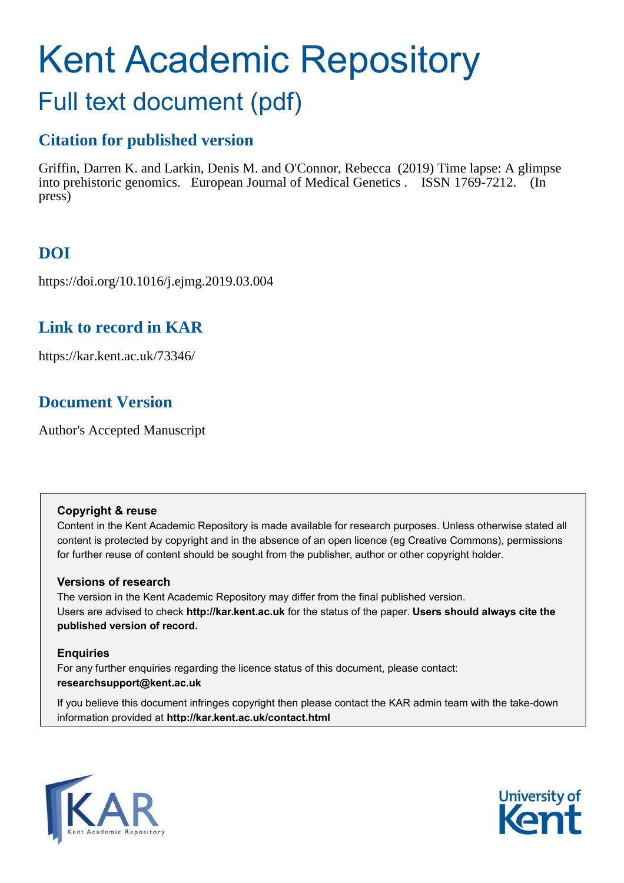# Kent Academic Repository

# Full text document (pdf)

# **Citation for published version**

Griffin, Darren K. and Larkin, Denis M. and O'Connor, Rebecca (2019) Time lapse: A glimpse into prehistoric genomics. European Journal of Medical Genetics . ISSN 1769-7212. (In press)

# **DOI**

https://doi.org/10.1016/j.ejmg.2019.03.004

# **Link to record in KAR**

https://kar.kent.ac.uk/73346/

# **Document Version**

Author's Accepted Manuscript

# **Copyright & reuse**

Content in the Kent Academic Repository is made available for research purposes. Unless otherwise stated all content is protected by copyright and in the absence of an open licence (eg Creative Commons), permissions for further reuse of content should be sought from the publisher, author or other copyright holder.

# **Versions of research**

The version in the Kent Academic Repository may differ from the final published version. Users are advised to check **http://kar.kent.ac.uk** for the status of the paper. **Users should always cite the published version of record.**

# **Enquiries**

For any further enquiries regarding the licence status of this document, please contact: **researchsupport@kent.ac.uk**

If you believe this document infringes copyright then please contact the KAR admin team with the take-down information provided at **http://kar.kent.ac.uk/contact.html**



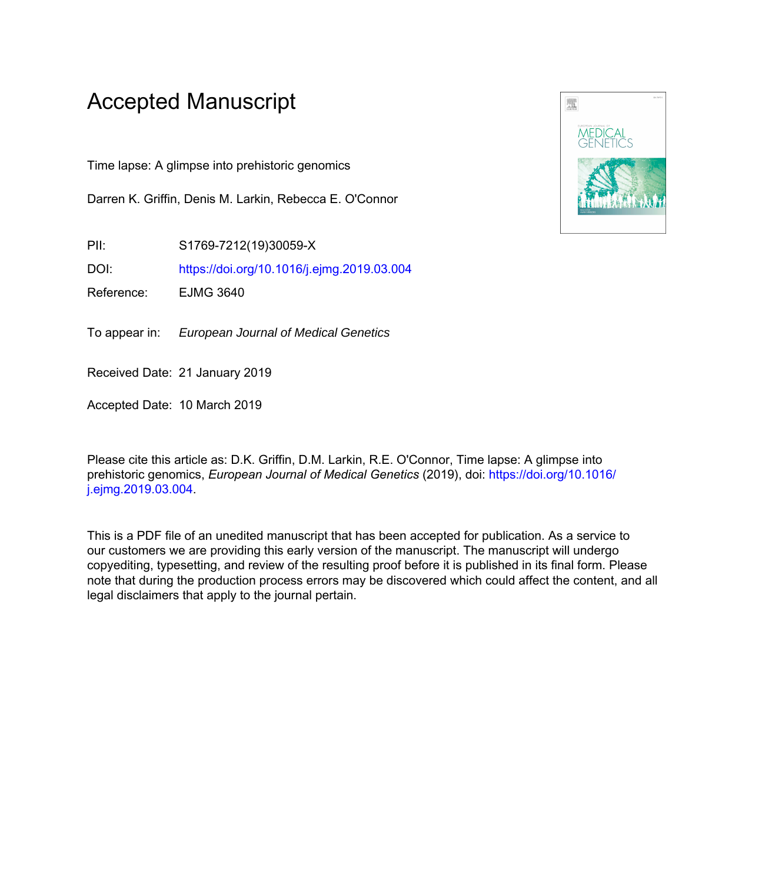# Accepted Manuscript

Time lapse: A glimpse into prehistoric genomics

Darren K. Griffin, Denis M. Larkin, Rebecca E. O'Connor

PII: S1769-7212(19)30059-X

DOI: <https://doi.org/10.1016/j.ejmg.2019.03.004>

Reference: EJMG 3640

To appear in: European Journal of Medical Genetics

Received Date: 21 January 2019

Accepted Date: 10 March 2019

Please cite this article as: D.K. Griffin, D.M. Larkin, R.E. O'Connor, Time lapse: A glimpse into prehistoric genomics, *European Journal of Medical Genetics* (2019), doi: [https://doi.org/10.1016/](https://doi.org/10.1016/j.ejmg.2019.03.004) [j.ejmg.2019.03.004](https://doi.org/10.1016/j.ejmg.2019.03.004).

This is a PDF file of an unedited manuscript that has been accepted for publication. As a service to our customers we are providing this early version of the manuscript. The manuscript will undergo copyediting, typesetting, and review of the resulting proof before it is published in its final form. Please note that during the production process errors may be discovered which could affect the content, and all legal disclaimers that apply to the journal pertain.

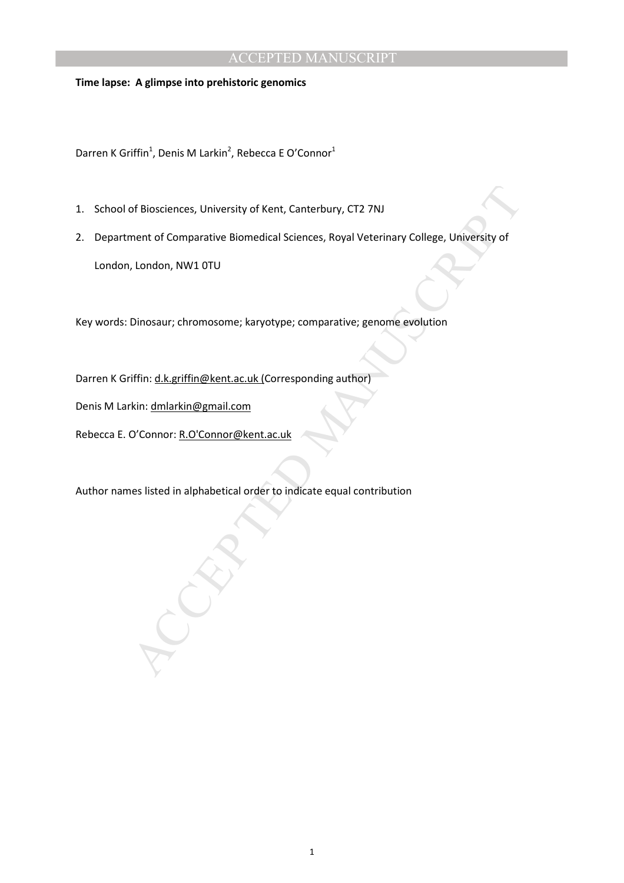#### **Time lapse: A glimpse into prehistoric genomics**

Darren K Griffin<sup>1</sup>, Denis M Larkin<sup>2</sup>, Rebecca E O'Connor<sup>1</sup>

- 1. School of Biosciences, University of Kent, Canterbury, CT2 7NJ
- of Biosciences, University of Kent, Canterbury, CT2 7NJ<br>ment of Comparative Biomedical Sciences, Royal Veterinary College, University of<br>, London, NW1 0TU<br>Dinosaur; chromosome; karyotype; comparative; genome evolution<br>Manu 2. Department of Comparative Biomedical Sciences, Royal Veterinary College, University of

London, London, NW1 0TU

Key words: Dinosaur; chromosome; karyotype; comparative; genome evolution

Darren K Griffin: d.k.griffin@kent.ac.uk (Corresponding author)

Denis M Larkin: dmlarkin@gmail.com

Rebecca E. O'Connor: R.O'Connor@kent.ac.uk

Author names listed in alphabetical order to indicate equal contribution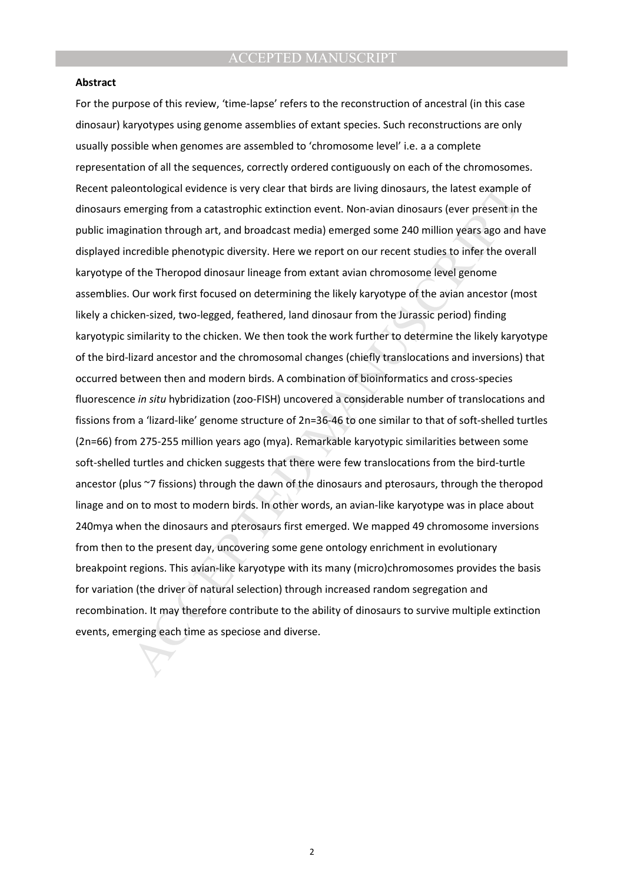#### **Abstract**

ontological evidence is very clear that birds are living dimosaurs, the latest example of<br>merging from a catastrophic extinction event. Non-avian dimosaurs (ever present in the<br>ination through art, and broadcast media) eme For the purpose of this review, 'time-lapse' refers to the reconstruction of ancestral (in this case dinosaur) karyotypes using genome assemblies of extant species. Such reconstructions are only usually possible when genomes are assembled to 'chromosome level' i.e. a a complete representation of all the sequences, correctly ordered contiguously on each of the chromosomes. Recent paleontological evidence is very clear that birds are living dinosaurs, the latest example of dinosaurs emerging from a catastrophic extinction event. Non-avian dinosaurs (ever present in the public imagination through art, and broadcast media) emerged some 240 million years ago and have displayed incredible phenotypic diversity. Here we report on our recent studies to infer the overall karyotype of the Theropod dinosaur lineage from extant avian chromosome level genome assemblies. Our work first focused on determining the likely karyotype of the avian ancestor (most likely a chicken-sized, two-legged, feathered, land dinosaur from the Jurassic period) finding karyotypic similarity to the chicken. We then took the work further to determine the likely karyotype of the bird-lizard ancestor and the chromosomal changes (chiefly translocations and inversions) that occurred between then and modern birds. A combination of bioinformatics and cross-species fluorescence *in situ* hybridization (zoo-FISH) uncovered a considerable number of translocations and fissions from a 'lizard-like' genome structure of 2n=36-46 to one similar to that of soft-shelled turtles (2n=66) from 275-255 million years ago (mya). Remarkable karyotypic similarities between some soft-shelled turtles and chicken suggests that there were few translocations from the bird-turtle ancestor (plus ~7 fissions) through the dawn of the dinosaurs and pterosaurs, through the theropod linage and on to most to modern birds. In other words, an avian-like karyotype was in place about 240mya when the dinosaurs and pterosaurs first emerged. We mapped 49 chromosome inversions from then to the present day, uncovering some gene ontology enrichment in evolutionary breakpoint regions. This avian-like karyotype with its many (micro)chromosomes provides the basis for variation (the driver of natural selection) through increased random segregation and recombination. It may therefore contribute to the ability of dinosaurs to survive multiple extinction events, emerging each time as speciose and diverse.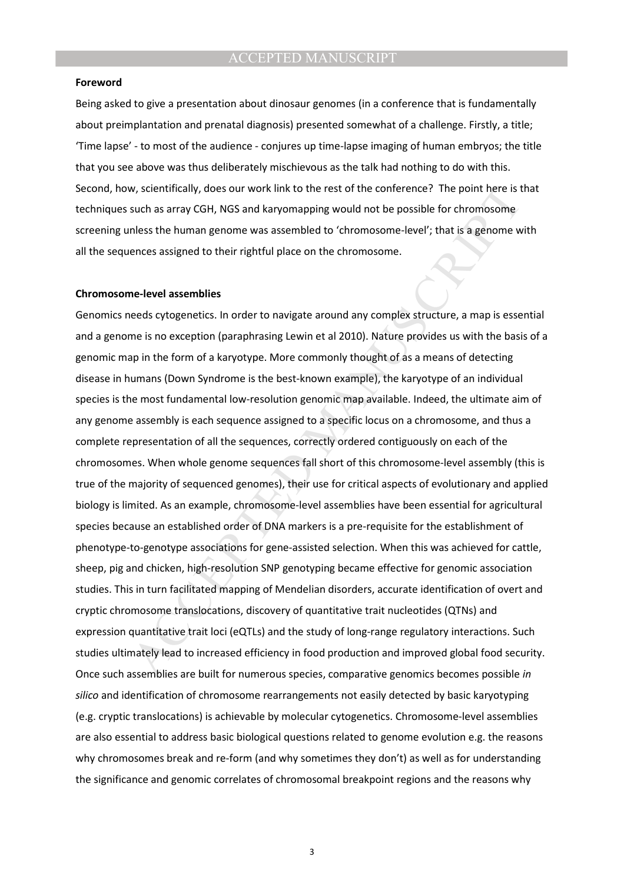#### **Foreword**

Being asked to give a presentation about dinosaur genomes (in a conference that is fundamentally about preimplantation and prenatal diagnosis) presented somewhat of a challenge. Firstly, a title; 'Time lapse' - to most of the audience - conjures up time-lapse imaging of human embryos; the title that you see above was thus deliberately mischievous as the talk had nothing to do with this. Second, how, scientifically, does our work link to the rest of the conference? The point here is that techniques such as array CGH, NGS and karyomapping would not be possible for chromosome screening unless the human genome was assembled to 'chromosome-level'; that is a genome with all the sequences assigned to their rightful place on the chromosome.

#### **Chromosome-level assemblies**

w, scientifically, does our work link to the rest of the conference? The point here is tha<br>such as array CGH, NGS and karyomapping would not be possible for chromosome<br>nless the human genome was assembled to "chromosome-le Genomics needs cytogenetics. In order to navigate around any complex structure, a map is essential and a genome is no exception (paraphrasing Lewin et al 2010). Nature provides us with the basis of a genomic map in the form of a karyotype. More commonly thought of as a means of detecting disease in humans (Down Syndrome is the best-known example), the karyotype of an individual species is the most fundamental low-resolution genomic map available. Indeed, the ultimate aim of any genome assembly is each sequence assigned to a specific locus on a chromosome, and thus a complete representation of all the sequences, correctly ordered contiguously on each of the chromosomes. When whole genome sequences fall short of this chromosome-level assembly (this is true of the majority of sequenced genomes), their use for critical aspects of evolutionary and applied biology is limited. As an example, chromosome-level assemblies have been essential for agricultural species because an established order of DNA markers is a pre-requisite for the establishment of phenotype-to-genotype associations for gene-assisted selection. When this was achieved for cattle, sheep, pig and chicken, high-resolution SNP genotyping became effective for genomic association studies. This in turn facilitated mapping of Mendelian disorders, accurate identification of overt and cryptic chromosome translocations, discovery of quantitative trait nucleotides (QTNs) and expression quantitative trait loci (eQTLs) and the study of long-range regulatory interactions. Such studies ultimately lead to increased efficiency in food production and improved global food security. Once such assemblies are built for numerous species, comparative genomics becomes possible *in silico* and identification of chromosome rearrangements not easily detected by basic karyotyping (e.g. cryptic translocations) is achievable by molecular cytogenetics. Chromosome-level assemblies are also essential to address basic biological questions related to genome evolution e.g. the reasons why chromosomes break and re-form (and why sometimes they don't) as well as for understanding the significance and genomic correlates of chromosomal breakpoint regions and the reasons why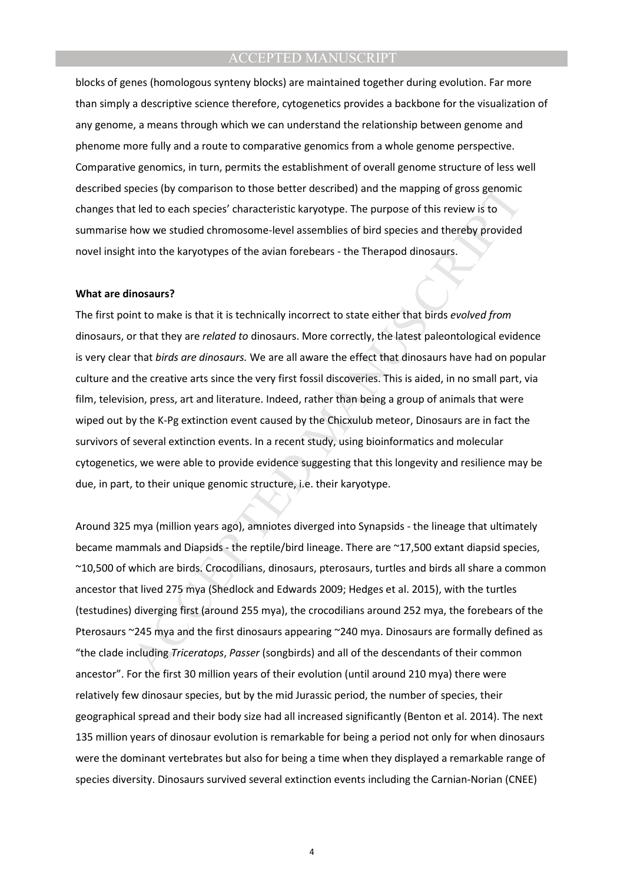blocks of genes (homologous synteny blocks) are maintained together during evolution. Far more than simply a descriptive science therefore, cytogenetics provides a backbone for the visualization of any genome, a means through which we can understand the relationship between genome and phenome more fully and a route to comparative genomics from a whole genome perspective. Comparative genomics, in turn, permits the establishment of overall genome structure of less well described species (by comparison to those better described) and the mapping of gross genomic changes that led to each species' characteristic karyotype. The purpose of this review is to summarise how we studied chromosome-level assemblies of bird species and thereby provided novel insight into the karyotypes of the avian forebears - the Therapod dinosaurs.

#### **What are dinosaurs?**

pecies (by comparison to those better described) and the mapping of gross genomic<br>the d to each species' characteristic karyotype. The purpose of this review is to<br>how we studied chromosome-level assemblies of bird species The first point to make is that it is technically incorrect to state either that birds *evolved from*  dinosaurs, or that they are *related to* dinosaurs. More correctly, the latest paleontological evidence is very clear that *birds are dinosaurs.* We are all aware the effect that dinosaurs have had on popular culture and the creative arts since the very first fossil discoveries. This is aided, in no small part, via film, television, press, art and literature. Indeed, rather than being a group of animals that were wiped out by the K-Pg extinction event caused by the Chicxulub meteor, Dinosaurs are in fact the survivors of several extinction events. In a recent study, using bioinformatics and molecular cytogenetics, we were able to provide evidence suggesting that this longevity and resilience may be due, in part, to their unique genomic structure, i.e. their karyotype.

Around 325 mya (million years ago), amniotes diverged into Synapsids - the lineage that ultimately became mammals and Diapsids - the reptile/bird lineage. There are ~17,500 extant diapsid species, ~10,500 of which are birds. Crocodilians, dinosaurs, pterosaurs, turtles and birds all share a common ancestor that lived 275 mya (Shedlock and Edwards 2009; Hedges et al. 2015), with the turtles (testudines) diverging first (around 255 mya), the crocodilians around 252 mya, the forebears of the Pterosaurs ~245 mya and the first dinosaurs appearing ~240 mya. Dinosaurs are formally defined as "the clade including *Triceratops*, *Passer* (songbirds) and all of the descendants of their common ancestor". For the first 30 million years of their evolution (until around 210 mya) there were relatively few dinosaur species, but by the mid Jurassic period, the number of species, their geographical spread and their body size had all increased significantly (Benton et al. 2014). The next 135 million years of dinosaur evolution is remarkable for being a period not only for when dinosaurs were the dominant vertebrates but also for being a time when they displayed a remarkable range of species diversity. Dinosaurs survived several extinction events including the Carnian-Norian (CNEE)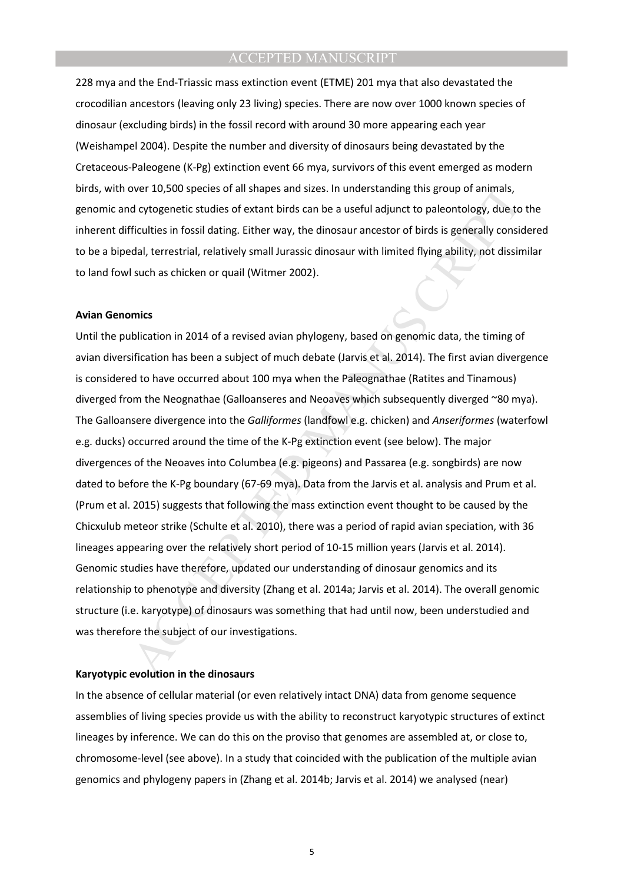228 mya and the End-Triassic mass extinction event (ETME) 201 mya that also devastated the crocodilian ancestors (leaving only 23 living) species. There are now over 1000 known species of dinosaur (excluding birds) in the fossil record with around 30 more appearing each year (Weishampel 2004). Despite the number and diversity of dinosaurs being devastated by the Cretaceous-Paleogene (K-Pg) extinction event 66 mya, survivors of this event emerged as modern birds, with over 10,500 species of all shapes and sizes. In understanding this group of animals, genomic and cytogenetic studies of extant birds can be a useful adjunct to paleontology, due to the inherent difficulties in fossil dating. Either way, the dinosaur ancestor of birds is generally considered to be a bipedal, terrestrial, relatively small Jurassic dinosaur with limited flying ability, not dissimilar to land fowl such as chicken or quail (Witmer 2002).

#### **Avian Genomics**

over 10,500 species of all shapes and sizes. In understanding this group of animals,<br>d cytogenetic studies of extant birds can be a useful adjunct to paleontology, due to the<br>diffuctulation fossil dating. Either way, the d Until the publication in 2014 of a revised avian phylogeny, based on genomic data, the timing of avian diversification has been a subject of much debate (Jarvis et al. 2014). The first avian divergence is considered to have occurred about 100 mya when the Paleognathae (Ratites and Tinamous) diverged from the Neognathae (Galloanseres and Neoaves which subsequently diverged ~80 mya). The Galloansere divergence into the *Galliformes* (landfowl e.g. chicken) and *Anseriformes* (waterfowl e.g. ducks) occurred around the time of the K-Pg extinction event (see below). The major divergences of the Neoaves into Columbea (e.g. pigeons) and Passarea (e.g. songbirds) are now dated to before the K-Pg boundary (67-69 mya). Data from the Jarvis et al. analysis and Prum et al. (Prum et al. 2015) suggests that following the mass extinction event thought to be caused by the Chicxulub meteor strike (Schulte et al. 2010), there was a period of rapid avian speciation, with 36 lineages appearing over the relatively short period of 10-15 million years (Jarvis et al. 2014). Genomic studies have therefore, updated our understanding of dinosaur genomics and its relationship to phenotype and diversity (Zhang et al. 2014a; Jarvis et al. 2014). The overall genomic structure (i.e. karyotype) of dinosaurs was something that had until now, been understudied and was therefore the subject of our investigations.

#### **Karyotypic evolution in the dinosaurs**

In the absence of cellular material (or even relatively intact DNA) data from genome sequence assemblies of living species provide us with the ability to reconstruct karyotypic structures of extinct lineages by inference. We can do this on the proviso that genomes are assembled at, or close to, chromosome-level (see above). In a study that coincided with the publication of the multiple avian genomics and phylogeny papers in (Zhang et al. 2014b; Jarvis et al. 2014) we analysed (near)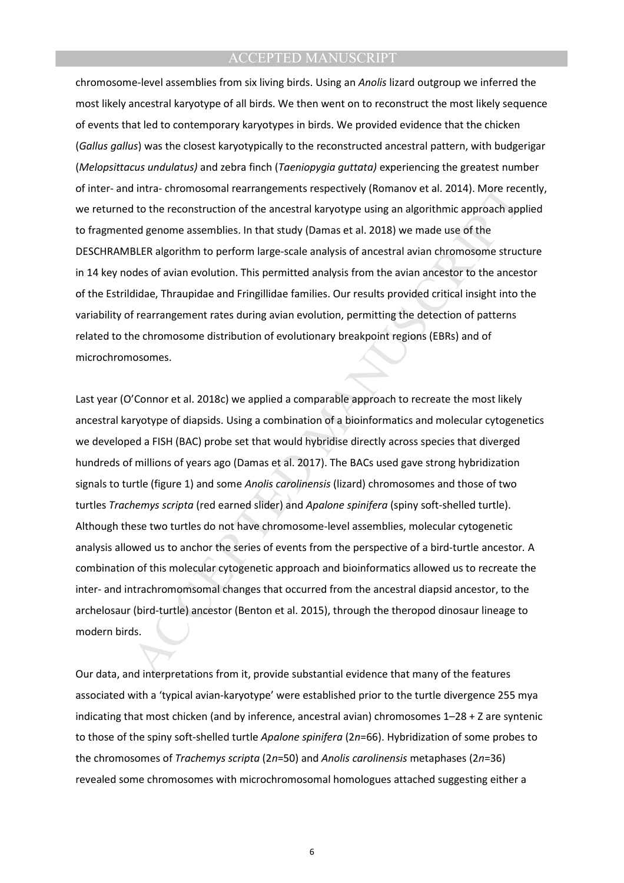chromosome-level assemblies from six living birds. Using an *Anolis* lizard outgroup we inferred the most likely ancestral karyotype of all birds. We then went on to reconstruct the most likely sequence of events that led to contemporary karyotypes in birds. We provided evidence that the chicken<br>(Gallus gallus) was the closest karyotypically to the reconstructed ancestral pattern, with budgerigar<br>(Melopsittacus undulatus) of inter- and intra- chromosomal rearrangements respectively (Romanov et al. 2014). More recently, we returned to the reconstruction of the ancestral karyotype using an algorithmic approach applied to fragmented genome assemblies. In that study (Damas et al. 2018) we made use of the DESCHRAMBLER algorithm to perform large-scale analysis of ancestral avian chromosome structure in 14 key nodes of avian evolution. This permitted analysis from the avian ancestor to the ancestor of the Estrildidae, Thraupidae and Fringillidae families. Our results provided critical insight into the variability of rearrangement rates during avian evolution, permitting the detection of patterns related to the chromosome distribution of evolutionary breakpoint regions (EBRs) and of microchromosomes.

d intra- chromosomal rearrangements respectively (Romanov et al. 2014). More recent<br>to the reconstruction of the ancestral karyotype using an algorithmic approach applie<br>ted genome assemblies. In that study (Damas et al. 2 Last year (O'Connor et al. 2018c) we applied a comparable approach to recreate the most likely ancestral karyotype of diapsids. Using a combination of a bioinformatics and molecular cytogenetics we developed a FISH (BAC) probe set that would hybridise directly across species that diverged hundreds of millions of years ago (Damas et al. 2017). The BACs used gave strong hybridization signals to turtle (figure 1) and some *Anolis carolinensis* (lizard) chromosomes and those of two turtles *Trachemys scripta* (red earned slider) and *Apalone spinifera* (spiny soft-shelled turtle). Although these two turtles do not have chromosome-level assemblies, molecular cytogenetic analysis allowed us to anchor the series of events from the perspective of a bird-turtle ancestor*.* A combination of this molecular cytogenetic approach and bioinformatics allowed us to recreate the inter- and intrachromomsomal changes that occurred from the ancestral diapsid ancestor, to the archelosaur (bird-turtle) ancestor (Benton et al. 2015), through the theropod dinosaur lineage to modern birds.

Our data, and interpretations from it, provide substantial evidence that many of the features associated with a 'typical avian-karyotype' were established prior to the turtle divergence 255 mya indicating that most chicken (and by inference, ancestral avian) chromosomes 1–28 + Z are syntenic to those of the spiny soft-shelled turtle *Apalone spinifera* (2 *n*=66). Hybridization of some probes to the chromosomes of *Trachemys scripta* (2 *n*=50) and *Anolis carolinensis* metaphases (2 *n*=36) revealed some chromosomes with microchromosomal homologues attached suggesting either a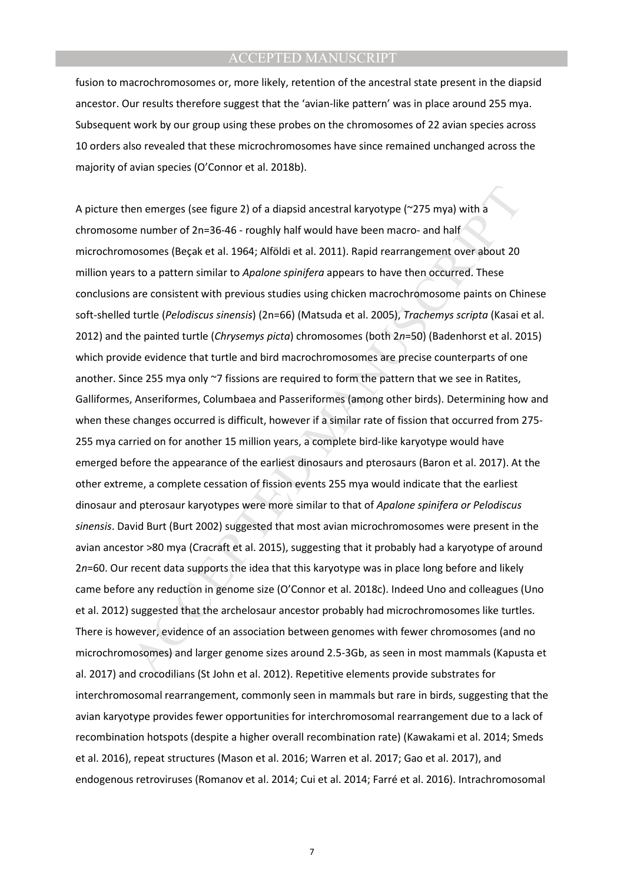fusion to macrochromosomes or, more likely, retention of the ancestral state present in the diapsid ancestor. Our results therefore suggest that the 'avian-like pattern' was in place around 255 mya. Subsequent work by our group using these probes on the chromosomes of 22 avian species across 10 orders also revealed that these microchromosomes have since remained unchanged across the majority of avian species (O'Connor et al. 2018b).

en emerges (see figure 2) of a diapsid ancestral karyotype (~275 mya) with a<br>
ne number of 2n=36-46 - roughly half would have been macro- and half<br>
ne number of 2n=36-46 - roughly half would have been macro- and half<br>
noso A picture then emerges (see figure 2) of a diapsid ancestral karyotype (~275 mya) with a chromosome number of 2n=36-46 - roughly half would have been macro- and half microchromosomes (Beçak et al. 1964; Alföldi et al. 2011). Rapid rearrangement over about 20 million years to a pattern similar to *Apalone spinifera* appears to have then occurred. These conclusions are consistent with previous studies using chicken macrochromosome paints on Chinese soft-shelled turtle (*Pelodiscus sinensis*) (2n=66) (Matsuda et al. 2005), *Trachemys scripta* (Kasai et al. 2012) and the painted turtle (*Chrysemys picta*) chromosomes (both 2 *n*=50) (Badenhorst et al. 2015) which provide evidence that turtle and bird macrochromosomes are precise counterparts of one another. Since 255 mya only ~7 fissions are required to form the pattern that we see in Ratites, Galliformes, Anseriformes, Columbaea and Passeriformes (among other birds). Determining how and when these changes occurred is difficult, however if a similar rate of fission that occurred from 275- 255 mya carried on for another 15 million years, a complete bird-like karyotype would have emerged before the appearance of the earliest dinosaurs and pterosaurs (Baron et al. 2017). At the other extreme, a complete cessation of fission events 255 mya would indicate that the earliest dinosaur and pterosaur karyotypes were more similar to that of *Apalone spinifera or Pelodiscus sinensis*. David Burt (Burt 2002) suggested that most avian microchromosomes were present in the avian ancestor >80 mya (Cracraft et al. 2015), suggesting that it probably had a karyotype of around 2*n*=60. Our recent data supports the idea that this karyotype was in place long before and likely came before any reduction in genome size (O'Connor et al. 2018c). Indeed Uno and colleagues (Uno et al. 2012) suggested that the archelosaur ancestor probably had microchromosomes like turtles. There is however, evidence of an association between genomes with fewer chromosomes (and no microchromosomes) and larger genome sizes around 2.5-3Gb, as seen in most mammals (Kapusta et al. 2017) and crocodilians (St John et al. 2012). Repetitive elements provide substrates for interchromosomal rearrangement, commonly seen in mammals but rare in birds, suggesting that the avian karyotype provides fewer opportunities for interchromosomal rearrangement due to a lack of recombination hotspots (despite a higher overall recombination rate) (Kawakami et al. 2014; Smeds et al. 2016), repeat structures (Mason et al. 2016; Warren et al. 2017; Gao et al. 2017), and endogenous retroviruses (Romanov et al. 2014; Cui et al. 2014; Farré et al. 2016). Intrachromosomal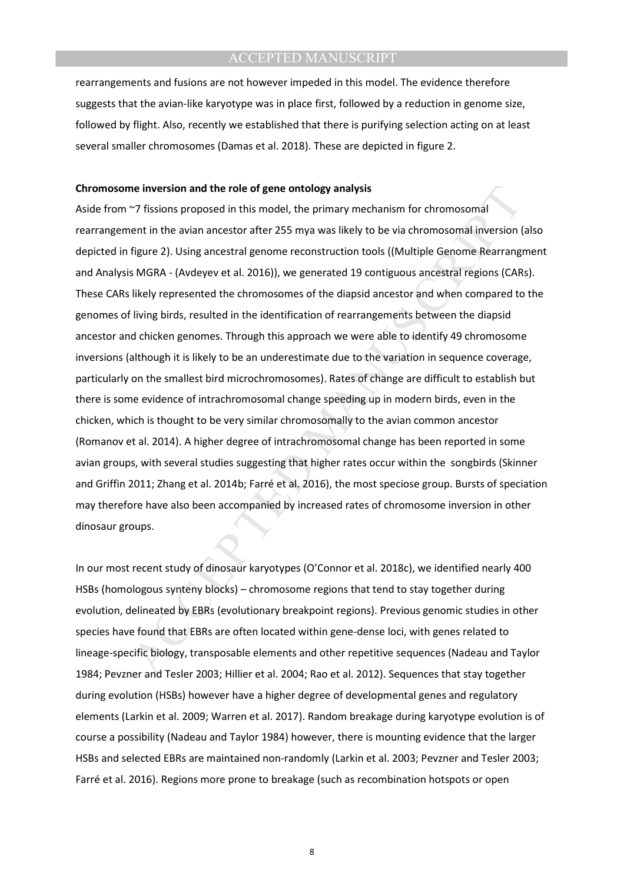rearrangements and fusions are not however impeded in this model. The evidence therefore suggests that the avian-like karyotype was in place first, followed by a reduction in genome size, followed by flight. Also, recently we established that there is purifying selection acting on at least several smaller chromosomes (Damas et al. 2018). These are depicted in figure 2.

#### **Chromosome inversion and the role of gene ontology analysis**

ne inversion and the role of gene ontology analysis<br>
"T fissions proposed in this model, the primary mechanism for chromosomal inversion (als<br>
nent in the avian ancestor affer 255 my avas likely to be via chromosomal inver Aside from ~7 fissions proposed in this model, the primary mechanism for chromosomal rearrangement in the avian ancestor after 255 mya was likely to be via chromosomal inversion (also depicted in figure 2). Using ancestral genome reconstruction tools ((Multiple Genome Rearrangment and Analysis MGRA - (Avdeyev et al. 2016)), we generated 19 contiguous ancestral regions (CARs). These CARs likely represented the chromosomes of the diapsid ancestor and when compared to the genomes of living birds, resulted in the identification of rearrangements between the diapsid ancestor and chicken genomes. Through this approach we were able to identify 49 chromosome inversions (although it is likely to be an underestimate due to the variation in sequence coverage, particularly on the smallest bird microchromosomes). Rates of change are difficult to establish but there is some evidence of intrachromosomal change speeding up in modern birds, even in the chicken, which is thought to be very similar chromosomally to the avian common ancestor (Romanov et al. 2014). A higher degree of intrachromosomal change has been reported in some avian groups, with several studies suggesting that higher rates occur within the songbirds (Skinner and Griffin 2011; Zhang et al. 2014b; Farré et al. 2016), the most speciose group. Bursts of speciation may therefore have also been accompanied by increased rates of chromosome inversion in other dinosaur groups.

In our most recent study of dinosaur karyotypes (O'Connor et al. 2018c), we identified nearly 400 HSBs (homologous synteny blocks) – chromosome regions that tend to stay together during evolution, delineated by EBRs (evolutionary breakpoint regions). Previous genomic studies in other species have found that EBRs are often located within gene-dense loci, with genes related to lineage-specific biology, transposable elements and other repetitive sequences (Nadeau and Taylor 1984; Pevzner and Tesler 2003; Hillier et al. 2004; Rao et al. 2012). Sequences that stay together during evolution (HSBs) however have a higher degree of developmental genes and regulatory elements (Larkin et al. 2009; Warren et al. 2017). Random breakage during karyotype evolution is of course a possibility (Nadeau and Taylor 1984) however, there is mounting evidence that the larger HSBs and selected EBRs are maintained non-randomly (Larkin et al. 2003; Pevzner and Tesler 2003; Farré et al. 2016). Regions more prone to breakage (such as recombination hotspots or open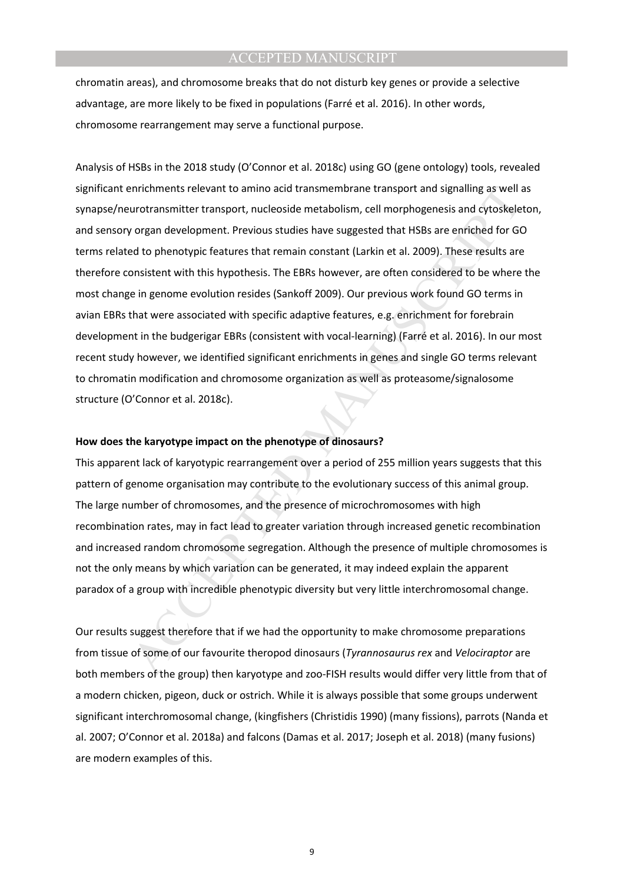chromatin areas), and chromosome breaks that do not disturb key genes or provide a selective advantage, are more likely to be fixed in populations (Farré et al. 2016). In other words, chromosome rearrangement may serve a functional purpose.

enrichments relevant to amino acid transmembrane transport and signalling as well as<br>urotransmitter transport, nucleoside metabolism, cell morphogenesis and cytoskeletor<br>or gan development. Previous studies have suggested Analysis of HSBs in the 2018 study (O'Connor et al. 2018c) using GO (gene ontology) tools, revealed significant enrichments relevant to amino acid transmembrane transport and signalling as well as synapse/neurotransmitter transport, nucleoside metabolism, cell morphogenesis and cytoskeleton, and sensory organ development. Previous studies have suggested that HSBs are enriched for GO terms related to phenotypic features that remain constant (Larkin et al. 2009). These results are therefore consistent with this hypothesis. The EBRs however, are often considered to be where the most change in genome evolution resides (Sankoff 2009). Our previous work found GO terms in avian EBRs that were associated with specific adaptive features, e.g. enrichment for forebrain development in the budgerigar EBRs (consistent with vocal-learning) (Farré et al. 2016). In our most recent study however, we identified significant enrichments in genes and single GO terms relevant to chromatin modification and chromosome organization as well as proteasome/signalosome structure (O'Connor et al. 2018c).

#### **How does the karyotype impact on the phenotype of dinosaurs?**

This apparent lack of karyotypic rearrangement over a period of 255 million years suggests that this pattern of genome organisation may contribute to the evolutionary success of this animal group. The large number of chromosomes, and the presence of microchromosomes with high recombination rates, may in fact lead to greater variation through increased genetic recombination and increased random chromosome segregation. Although the presence of multiple chromosomes is not the only means by which variation can be generated, it may indeed explain the apparent paradox of a group with incredible phenotypic diversity but very little interchromosomal change.

Our results suggest therefore that if we had the opportunity to make chromosome preparations from tissue of some of our favourite theropod dinosaurs (*Tyrannosaurus rex* and *Velociraptor* are both members of the group) then karyotype and zoo-FISH results would differ very little from that of a modern chicken, pigeon, duck or ostrich. While it is always possible that some groups underwent significant interchromosomal change, (kingfishers (Christidis 1990) (many fissions), parrots (Nanda et al. 2007; O'Connor et al. 2018a) and falcons (Damas et al. 2017; Joseph et al. 2018) (many fusions) are modern examples of this.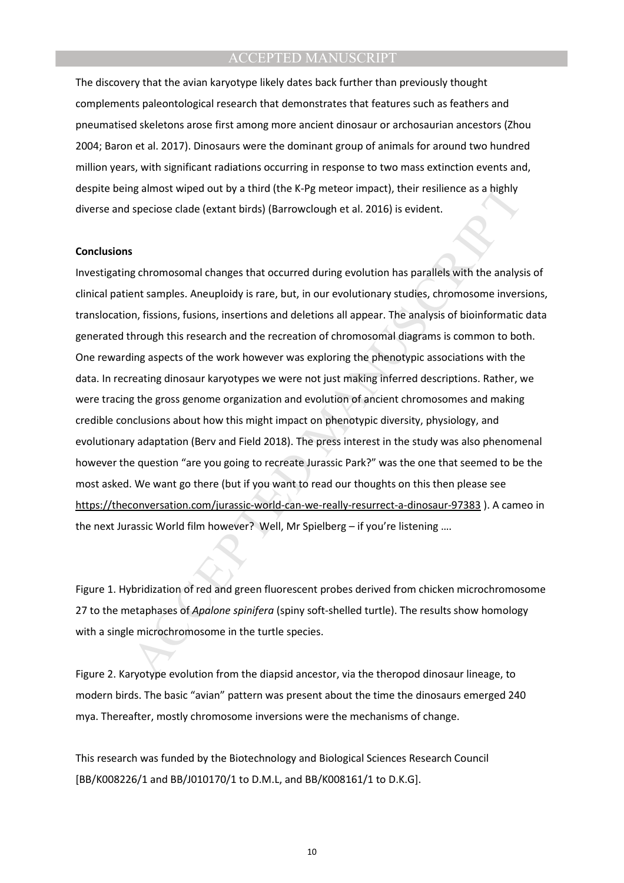The discovery that the avian karyotype likely dates back further than previously thought complements paleontological research that demonstrates that features such as feathers and pneumatised skeletons arose first among more ancient dinosaur or archosaurian ancestors (Zhou 2004; Baron et al. 2017). Dinosaurs were the dominant group of animals for around two hundred million years, with significant radiations occurring in response to two mass extinction events and, despite being almost wiped out by a third (the K-Pg meteor impact), their resilience as a highly diverse and speciose clade (extant birds) (Barrowclough et al. 2016) is evident.

#### **Conclusions**

ignalmost wiped out by a third (the K-Pg meteor impact), their resilience as a highly<br>speciose clade (extant birds) (Barrowclough et al. 2016) is evident.<br>Somewhere the extant of the analysis of birdents.<br>The analysis gehr Investigating chromosomal changes that occurred during evolution has parallels with the analysis of clinical patient samples. Aneuploidy is rare, but, in our evolutionary studies, chromosome inversions, translocation, fissions, fusions, insertions and deletions all appear. The analysis of bioinformatic data generated through this research and the recreation of chromosomal diagrams is common to both. One rewarding aspects of the work however was exploring the phenotypic associations with the data. In recreating dinosaur karyotypes we were not just making inferred descriptions. Rather, we were tracing the gross genome organization and evolution of ancient chromosomes and making credible conclusions about how this might impact on phenotypic diversity, physiology, and evolutionary adaptation (Berv and Field 2018). The press interest in the study was also phenomenal however the question "are you going to recreate Jurassic Park?" was the one that seemed to be the most asked. We want go there (but if you want to read our thoughts on this then please see https://theconversation.com/jurassic-world-can-we-really-resurrect-a-dinosaur-97383 ). A cameo in the next Jurassic World film however? Well, Mr Spielberg - if you're listening ....

Figure 1. Hybridization of red and green fluorescent probes derived from chicken microchromosome 27 to the metaphases of *Apalone spinifera* (spiny soft-shelled turtle). The results show homology with a single microchromosome in the turtle species.

Figure 2. Karyotype evolution from the diapsid ancestor, via the theropod dinosaur lineage, to modern birds. The basic "avian" pattern was present about the time the dinosaurs emerged 240 mya. Thereafter, mostly chromosome inversions were the mechanisms of change.

This research was funded by the Biotechnology and Biological Sciences Research Council [BB/K008226/1 and BB/J010170/1 to D.M.L, and BB/K008161/1 to D.K.G].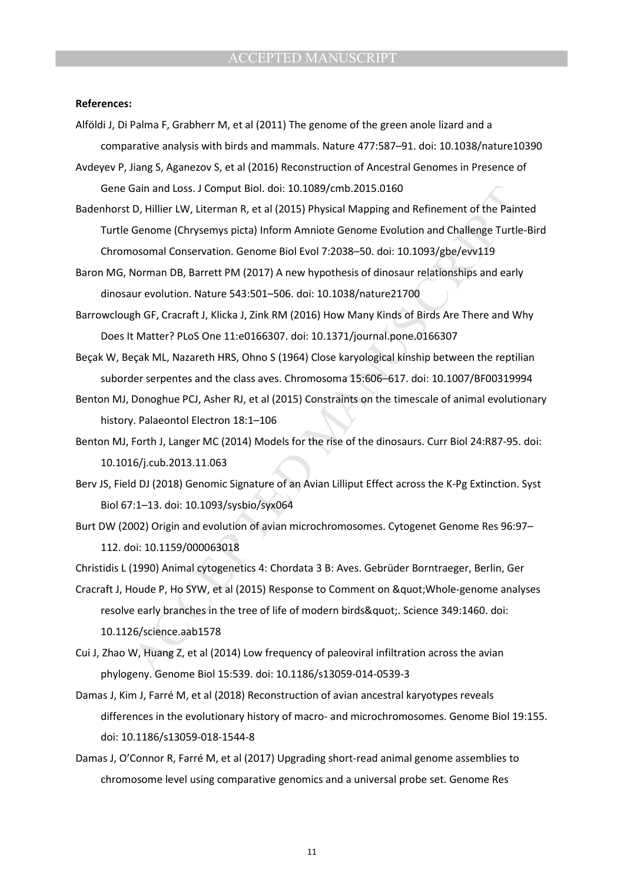#### **References:**

- Alföldi J, Di Palma F, Grabherr M, et al (2011) The genome of the green anole lizard and a comparative analysis with birds and mammals. Nature 477:587–91. doi: 10.1038/nature10390
- Avdeyev P, Jiang S, Aganezov S, et al (2016) Reconstruction of Ancestral Genomes in Presence of Gene Gain and Loss. J Comput Biol. doi: 10.1089/cmb.2015.0160
- Badenhorst D, Hillier LW, Literman R, et al (2015) Physical Mapping and Refinement of the Painted Turtle Genome (Chrysemys picta) Inform Amniote Genome Evolution and Challenge Turtle-Bird Chromosomal Conservation. Genome Biol Evol 7:2038–50. doi: 10.1093/gbe/evv119
- Baron MG, Norman DB, Barrett PM (2017) A new hypothesis of dinosaur relationships and early dinosaur evolution. Nature 543:501–506. doi: 10.1038/nature21700
- Barrowclough GF, Cracraft J, Klicka J, Zink RM (2016) How Many Kinds of Birds Are There and Why Does It Matter? PLoS One 11:e0166307. doi: 10.1371/journal.pone.0166307
- Beçak W, Beçak ML, Nazareth HRS, Ohno S (1964) Close karyological kinship between the reptilian suborder serpentes and the class aves. Chromosoma 15:606–617. doi: 10.1007/BF00319994
- Benton MJ, Donoghue PCJ, Asher RJ, et al (2015) Constraints on the timescale of animal evolutionary history. Palaeontol Electron 18:1–106
- Benton MJ, Forth J, Langer MC (2014) Models for the rise of the dinosaurs. Curr Biol 24:R87-95. doi: 10.1016/j.cub.2013.11.063
- Berv JS, Field DJ (2018) Genomic Signature of an Avian Lilliput Effect across the K-Pg Extinction. Syst Biol 67:1–13. doi: 10.1093/sysbio/syx064
- Burt DW (2002) Origin and evolution of avian microchromosomes. Cytogenet Genome Res 96:97– 112. doi: 10.1159/000063018

Christidis L (1990) Animal cytogenetics 4: Chordata 3 B: Aves. Gebrüder Borntraeger, Berlin, Ger

- Gain and Loss. J Comput Biol. doi: 10.1089/cmb.2015.0160<br>
D, Hillier LW, Literman R, et al (2015) Physical Mapping and Refinement of the Painted<br>
Genome (Chrysenys picta) Inform Amniote Genome Evolution and Challenge Turtl Cracraft J, Houde P, Ho SYW, et al (2015) Response to Comment on " Whole-genome analyses resolve early branches in the tree of life of modern birds". Science 349:1460. doi: 10.1126/science.aab1578
- Cui J, Zhao W, Huang Z, et al (2014) Low frequency of paleoviral infiltration across the avian phylogeny. Genome Biol 15:539. doi: 10.1186/s13059-014-0539-3
- Damas J, Kim J, Farré M, et al (2018) Reconstruction of avian ancestral karyotypes reveals differences in the evolutionary history of macro- and microchromosomes. Genome Biol 19:155. doi: 10.1186/s13059-018-1544-8
- Damas J, O'Connor R, Farré M, et al (2017) Upgrading short-read animal genome assemblies to chromosome level using comparative genomics and a universal probe set. Genome Res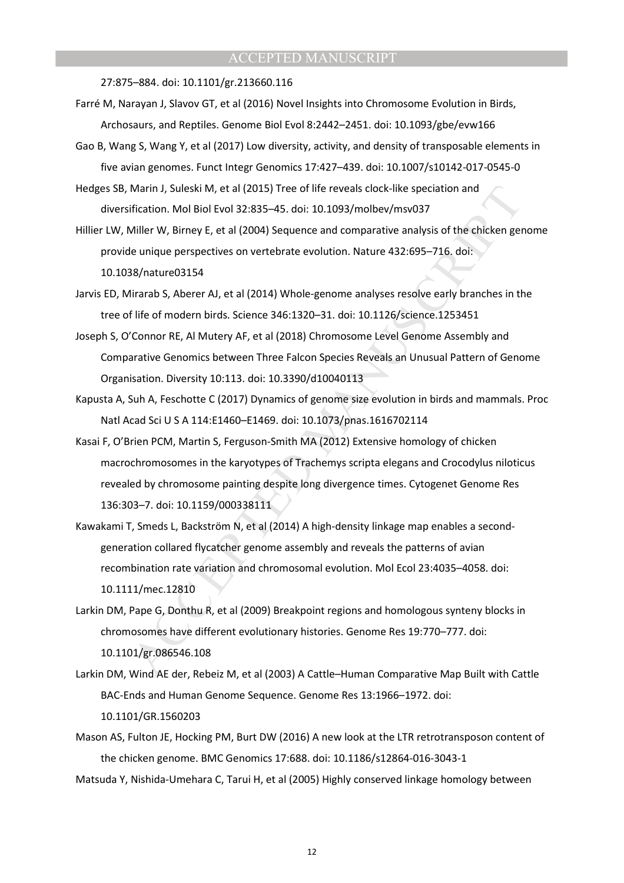27:875–884. doi: 10.1101/gr.213660.116

- Farré M, Narayan J, Slavov GT, et al (2016) Novel Insights into Chromosome Evolution in Birds, Archosaurs, and Reptiles. Genome Biol Evol 8:2442–2451. doi: 10.1093/gbe/evw166
- Gao B, Wang S, Wang Y, et al (2017) Low diversity, activity, and density of transposable elements in five avian genomes. Funct Integr Genomics 17:427–439. doi: 10.1007/s10142-017-0545-0

Hedges SB, Marin J, Suleski M, et al (2015) Tree of life reveals clock-like speciation and diversification. Mol Biol Evol 32:835–45. doi: 10.1093/molbev/msv037

- Hillier LW, Miller W, Birney E, et al (2004) Sequence and comparative analysis of the chicken genome provide unique perspectives on vertebrate evolution. Nature 432:695–716. doi: 10.1038/nature03154
- Jarvis ED, Mirarab S, Aberer AJ, et al (2014) Whole-genome analyses resolve early branches in the tree of life of modern birds. Science 346:1320–31. doi: 10.1126/science.1253451
- Joseph S, O'Connor RE, Al Mutery AF, et al (2018) Chromosome Level Genome Assembly and Comparative Genomics between Three Falcon Species Reveals an Unusual Pattern of Genome Organisation. Diversity 10:113. doi: 10.3390/d10040113
- Kapusta A, Suh A, Feschotte C (2017) Dynamics of genome size evolution in birds and mammals. Proc Natl Acad Sci U S A 114:E1460–E1469. doi: 10.1073/pnas.1616702114
- Marin J, Suleski M, et al (2015) Tree of life reveals clock-like speciation and<br>ification. Mol Biol Evol 32:835–45. doi: 10.1093/molbev/msv037<br>Willer W, Birney E, et al (2004) Sequence and comparative analysis of the chick Kasai F, O'Brien PCM, Martin S, Ferguson-Smith MA (2012) Extensive homology of chicken macrochromosomes in the karyotypes of Trachemys scripta elegans and Crocodylus niloticus revealed by chromosome painting despite long divergence times. Cytogenet Genome Res 136:303–7. doi: 10.1159/000338111
- Kawakami T, Smeds L, Backström N, et al (2014) A high-density linkage map enables a secondgeneration collared flycatcher genome assembly and reveals the patterns of avian recombination rate variation and chromosomal evolution. Mol Ecol 23:4035–4058. doi: 10.1111/mec.12810
- Larkin DM, Pape G, Donthu R, et al (2009) Breakpoint regions and homologous synteny blocks in chromosomes have different evolutionary histories. Genome Res 19:770–777. doi: 10.1101/gr.086546.108
- Larkin DM, Wind AE der, Rebeiz M, et al (2003) A Cattle–Human Comparative Map Built with Cattle BAC-Ends and Human Genome Sequence. Genome Res 13:1966–1972. doi: 10.1101/GR.1560203
- Mason AS, Fulton JE, Hocking PM, Burt DW (2016) A new look at the LTR retrotransposon content of the chicken genome. BMC Genomics 17:688. doi: 10.1186/s12864-016-3043-1
- Matsuda Y, Nishida-Umehara C, Tarui H, et al (2005) Highly conserved linkage homology between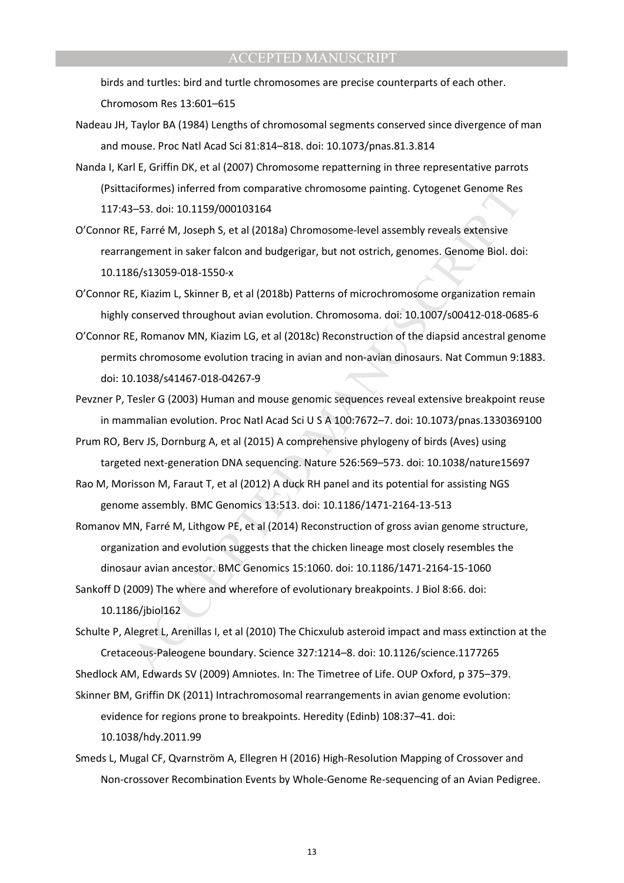birds and turtles: bird and turtle chromosomes are precise counterparts of each other. Chromosom Res 13:601–615

- Nadeau JH, Taylor BA (1984) Lengths of chromosomal segments conserved since divergence of man and mouse. Proc Natl Acad Sci 81:814–818. doi: 10.1073/pnas.81.3.814
- Nanda I, Karl E, Griffin DK, et al (2007) Chromosome repatterning in three representative parrots (Psittaciformes) inferred from comparative chromosome painting. Cytogenet Genome Res 117:43–53. doi: 10.1159/000103164
- O'Connor RE, Farré M, Joseph S, et al (2018a) Chromosome-level assembly reveals extensive rearrangement in saker falcon and budgerigar, but not ostrich, genomes. Genome Biol. doi: 10.1186/s13059-018-1550-x
- O'Connor RE, Kiazim L, Skinner B, et al (2018b) Patterns of microchromosome organization remain highly conserved throughout avian evolution. Chromosoma. doi: 10.1007/s00412-018-0685-6
- O'Connor RE, Romanov MN, Kiazim LG, et al (2018c) Reconstruction of the diapsid ancestral genome permits chromosome evolution tracing in avian and non-avian dinosaurs. Nat Commun 9:1883. doi: 10.1038/s41467-018-04267-9
- Pevzner P, Tesler G (2003) Human and mouse genomic sequences reveal extensive breakpoint reuse in mammalian evolution. Proc Natl Acad Sci U S A 100:7672–7. doi: 10.1073/pnas.1330369100
- Prum RO, Berv JS, Dornburg A, et al (2015) A comprehensive phylogeny of birds (Aves) using targeted next-generation DNA sequencing. Nature 526:569–573. doi: 10.1038/nature15697
- Rao M, Morisson M, Faraut T, et al (2012) A duck RH panel and its potential for assisting NGS genome assembly. BMC Genomics 13:513. doi: 10.1186/1471-2164-13-513
- ciformes) inferred from comparative chromosome painting. Cytogenet Genome Res<br>
5-53. doi: 10.1159/000103164<br>
E, Farré M, Joseph S, et al (2018a) Chromosome-level assembly reveals extensive<br>
ngement in saker falce and budge Romanov MN, Farré M, Lithgow PE, et al (2014) Reconstruction of gross avian genome structure, organization and evolution suggests that the chicken lineage most closely resembles the dinosaur avian ancestor. BMC Genomics 15:1060. doi: 10.1186/1471-2164-15-1060

Sankoff D (2009) The where and wherefore of evolutionary breakpoints. J Biol 8:66. doi: 10.1186/jbiol162

Schulte P, Alegret L, Arenillas I, et al (2010) The Chicxulub asteroid impact and mass extinction at the Cretaceous-Paleogene boundary. Science 327:1214–8. doi: 10.1126/science.1177265

Shedlock AM, Edwards SV (2009) Amniotes. In: The Timetree of Life. OUP Oxford, p 375–379.

Skinner BM, Griffin DK (2011) Intrachromosomal rearrangements in avian genome evolution:

evidence for regions prone to breakpoints. Heredity (Edinb) 108:37–41. doi: 10.1038/hdy.2011.99

Smeds L, Mugal CF, Qvarnström A, Ellegren H (2016) High-Resolution Mapping of Crossover and Non-crossover Recombination Events by Whole-Genome Re-sequencing of an Avian Pedigree.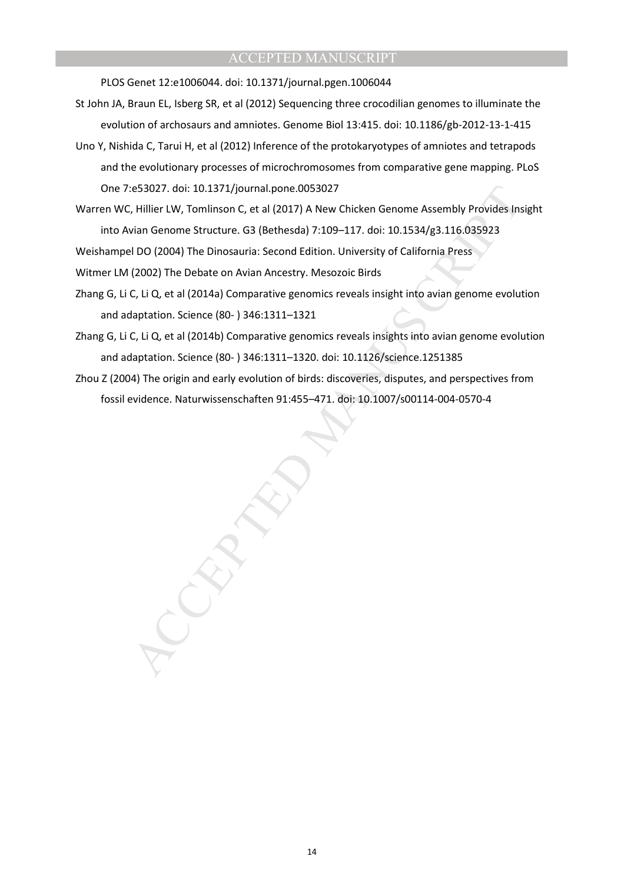PLOS Genet 12:e1006044. doi: 10.1371/journal.pgen.1006044

- St John JA, Braun EL, Isberg SR, et al (2012) Sequencing three crocodilian genomes to illuminate the evolution of archosaurs and amniotes. Genome Biol 13:415. doi: 10.1186/gb-2012-13-1-415
- Uno Y, Nishida C, Tarui H, et al (2012) Inference of the protokaryotypes of amniotes and tetrapods and the evolutionary processes of microchromosomes from comparative gene mapping. PLoS One 7:e53027. doi: 10.1371/journal.pone.0053027
- Warren WC, Hillier LW, Tomlinson C, et al (2017) A New Chicken Genome Assembly Provides Insight into Avian Genome Structure. G3 (Bethesda) 7:109–117. doi: 10.1534/g3.116.035923

Weishampel DO (2004) The Dinosauria: Second Edition. University of California Press

Witmer LM (2002) The Debate on Avian Ancestry. Mesozoic Birds

- es3027. doi: 10.1371/journal.pone.0053027<br>
(Hillier LW, Tomlinson C, et al (2017) A New Chicken Genome Assembly Provides Insight<br>
via Genome Extructure. G3 (Betheda) 7:109–117. doi: 10.1534/g3.116.035923<br>
(DO (2004) The Di Zhang G, Li C, Li Q, et al (2014a) Comparative genomics reveals insight into avian genome evolution and adaptation. Science (80- ) 346:1311–1321
- Zhang G, Li C, Li Q, et al (2014b) Comparative genomics reveals insights into avian genome evolution and adaptation. Science (80- ) 346:1311–1320. doi: 10.1126/science.1251385
- Zhou Z (2004) The origin and early evolution of birds: discoveries, disputes, and perspectives from fossil evidence. Naturwissenschaften 91:455–471. doi: 10.1007/s00114-004-0570-4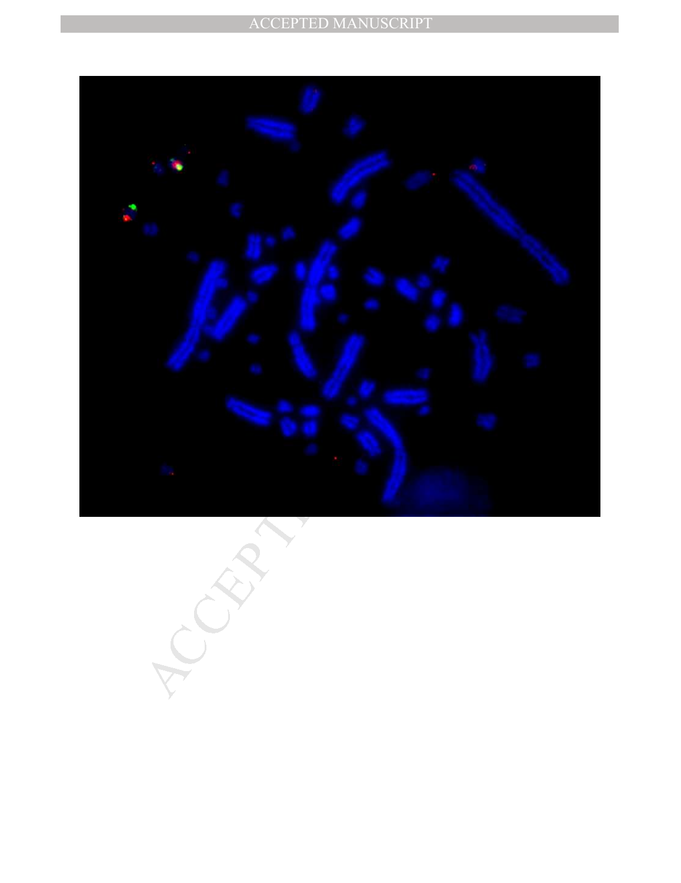